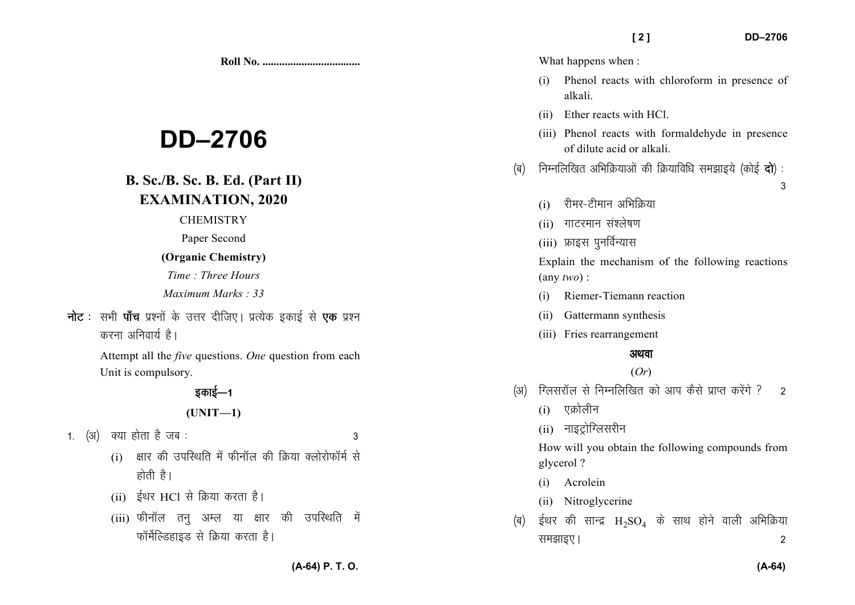**Roll No. ...................................** 

# **DD–2706**

# **B. Sc./B. Sc. B. Ed. (Part II)EXAMINATION, 2020**

#### **CHEMISTRY**

Paper Second

#### **(Organic Chemistry)**

*Time : Three Hours* 

*Maximum Marks : 33*

**नोट** : सभी **पाँच** प्रश्नों के उत्तर दीजिए। प्रत्येक इकाई से **एक** प्रश्न करना अनिवार्य है।

> Attempt all the *five* questions. *One* question from each Unit is compulsory.

# डकाई—1

## **(UNIT—1)**

- 1. (अ) क्या होता है जब :  $\sim$  3
	- $(i)$  क्षार की उपस्थिति में फीनॉल की क्रिया क्लोरोफॉर्म से होती है।
	- (ii) ईथर HCl से क्रिया करता है।
	- $(iii)$  फीनॉल तन अम्ल या क्षार की उपस्थिति में फॉर्मेल्डिहाइड से क्रिया करता है।

What happens when :

- (i) Phenol reacts with chloroform in presence of alkali.
- (ii) Ether reacts with HCl.
- (iii) Phenol reacts with formaldehyde in presence of dilute acid or alkali.
- (ब) निम्नलिखित अभिक्रियाओं की क्रियाविधि समझाइये (कोई **दो**):
- $\sim$  3
	- $(i)$  रीमर-टीमान अभिकिया
	- $(i)$  गाटरमान संश्लेषण
	- (iii) फ्राइस पुनर्विन्यास

Explain the mechanism of the following reactions (any *two*) :

- (i) Riemer-Tiemann reaction
- (ii) Gattermann synthesis
- (iii) Fries rearrangement

## अथवा

## (*Or*)

- (अ) क्लिसरॉल से निम्नलिखित को आप कैसे प्राप्त करेंगे ? 2
	- $(i)$  एक्रोलीन
	- $(ii)$  नाइट्रोग्लिसरीन

How will you obtain the following compounds from glycerol ?

- (i) Acrolein
- (ii) Nitroglycerine
- (ब) ईथर की सान्द्र  $H_2SO_4$  के साथ होने वाली अभिक्रिया le>kb,A 2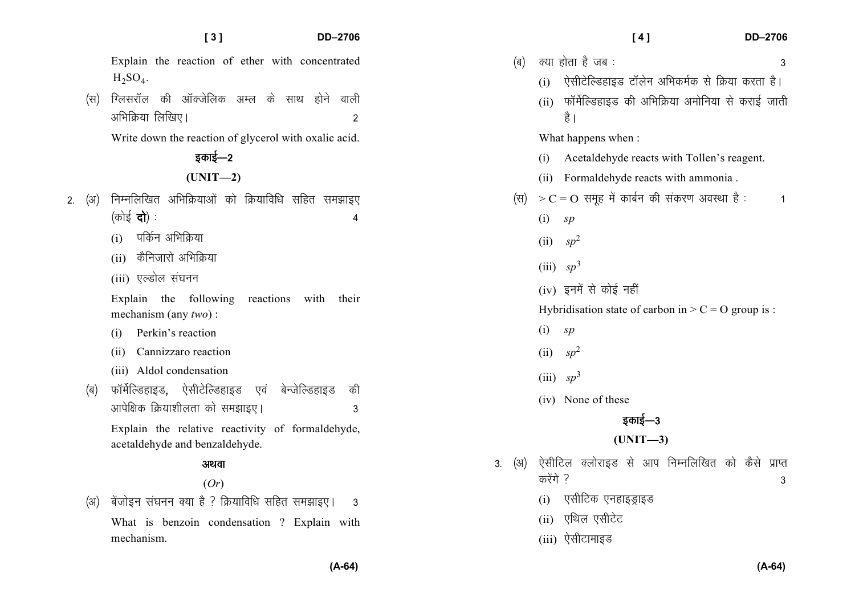Explain the reaction of ether with concentrated  $H_2SO_4$ .

(स) ग्लिसरॉल की ऑक्जेलिक अम्ल के साथ होने वाली अभिक्रिया लिखिए।  $\overline{a}$ 

Write down the reaction of glycerol with oxalic acid.

इकाई—2

## **(UNIT—2)**

- 2. (अ) निम्नलिखित अभिक्रियाओं को क्रियाविधि सहित समझाइए  $(\overrightarrow{\sigma})\dot{\xi}$   $\overrightarrow{\mathbf{q}}$  :
	- $(i)$  पर्किन अभिक्रिया
	- $(i)$  कैनिजारो अभिक्रिया
	- (iii) एल्डोल संघनन
	- Explain the following reactions with their mechanism (any *two*) :
	- (i) Perkin's reaction
	- (ii) Cannizzaro reaction
	- (iii) Aldol condensation
	- (ब) फॉर्मेल्डिहाइड, ऐसीटेल्डिहाइड एवं बेन्जेल्डिहाइड की vkisf{kd fØ;k'khyrk dks le>kb,A 3

Explain the relative reactivity of formaldehyde, acetaldehyde and benzaldehyde.

# अथवा

# (*Or*)

(अ) बेंजोइन संघनन क्या है ? क्रियाविधि सहित समझाइए। 3 What is benzoin condensation ? Explain with mechanism.

|        |                                                                          | [4]<br><b>DD-2706</b>                                          |   |  |  |  |  |  |  |
|--------|--------------------------------------------------------------------------|----------------------------------------------------------------|---|--|--|--|--|--|--|
|        | (ब)                                                                      | क्या होता है जब :                                              | 3 |  |  |  |  |  |  |
|        |                                                                          | ऐसीटेल्डिहाइड टॉलेन अभिकर्मक से क्रिया करता है।<br>(i)         |   |  |  |  |  |  |  |
|        |                                                                          | (ii)  फॉर्मेल्डिहाइड की अभिक्रिया अमोनिया से कराई जाती<br>है । |   |  |  |  |  |  |  |
|        | What happens when:<br>(i)<br>Acetaldehyde reacts with Tollen's reagent.  |                                                                |   |  |  |  |  |  |  |
|        |                                                                          |                                                                |   |  |  |  |  |  |  |
|        |                                                                          | (ii) Formaldehyde reacts with ammonia.                         |   |  |  |  |  |  |  |
|        | (स) $>C = O$ समूह में कार्बन की संकरण अवस्था है :                        |                                                                |   |  |  |  |  |  |  |
|        |                                                                          | (i)<br>sp                                                      |   |  |  |  |  |  |  |
|        |                                                                          | $(ii)$ sp <sup>2</sup>                                         |   |  |  |  |  |  |  |
|        |                                                                          | (iii) $sp^3$                                                   |   |  |  |  |  |  |  |
|        |                                                                          | (iv) इनमें से कोई नहीं                                         |   |  |  |  |  |  |  |
|        |                                                                          | Hybridisation state of carbon in $> C = O$ group is :          |   |  |  |  |  |  |  |
|        |                                                                          | (i)<br>sp                                                      |   |  |  |  |  |  |  |
|        |                                                                          | (ii) $sp^2$                                                    |   |  |  |  |  |  |  |
|        |                                                                          | (iii) $sp^3$                                                   |   |  |  |  |  |  |  |
|        |                                                                          | (iv) None of these                                             |   |  |  |  |  |  |  |
| इकाई—3 |                                                                          |                                                                |   |  |  |  |  |  |  |
|        | $(UNIT-3)$                                                               |                                                                |   |  |  |  |  |  |  |
| 3.     | ऐसीटिल क्लोराइड से आप निम्नलिखित को कैसे प्राप्त<br>(अ)<br>करेंगे ?<br>3 |                                                                |   |  |  |  |  |  |  |
|        |                                                                          | (i) एसीटिक एनहाइड्राइड                                         |   |  |  |  |  |  |  |
|        |                                                                          | (ii) एथिल एसीटेट                                               |   |  |  |  |  |  |  |
|        |                                                                          | (iii) ऐसीटामाइड                                                |   |  |  |  |  |  |  |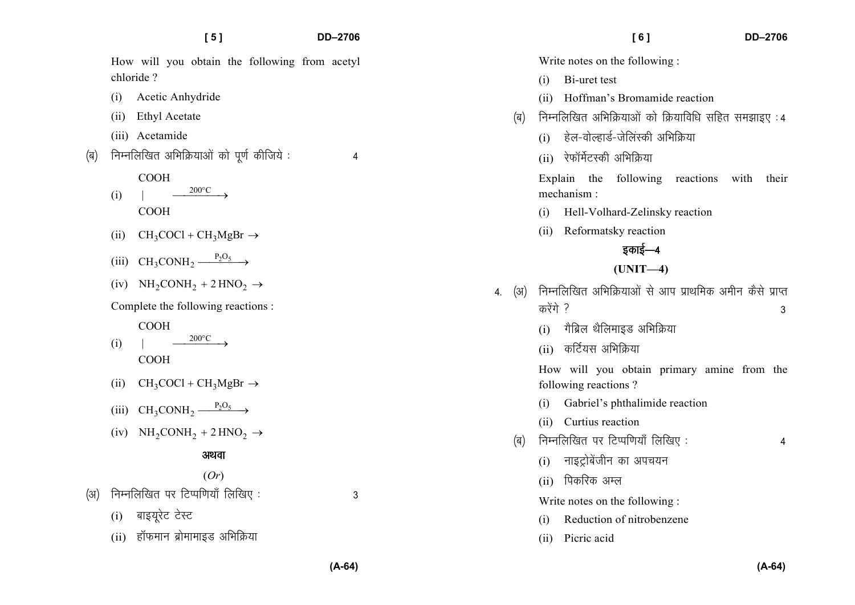|     | [5]                                                          | DD-2706 |     | DD-2706<br>[6]                                                                                          |
|-----|--------------------------------------------------------------|---------|-----|---------------------------------------------------------------------------------------------------------|
|     | How will you obtain the following from acetyl<br>chloride?   |         |     | Write notes on the following:<br>Bi-uret test<br>(i)                                                    |
|     | Acetic Anhydride<br>(1)                                      |         |     | Hoffman's Bromamide reaction<br>(ii)                                                                    |
|     | <b>Ethyl Acetate</b><br>(i)<br>(iii) Acetamide               |         | (ब) | निम्नलिखित अभिक्रियाओं को क्रियाविधि सहित समझाइए: 4<br>हेल-वोल्हार्ड-जेलिंस्की अभिक्रिया<br>(i)         |
| (ৰ) | निम्नलिखित अभिक्रियाओं को पूर्ण कीजिये:                      | 4       |     | रेफॉर्मेटस्की अभिक्रिया<br>(ii)                                                                         |
|     | <b>COOH</b><br>$200^{\circ}$ C<br>(i)<br><b>COOH</b>         |         |     | Explain the following reactions<br>with<br>their<br>mechanism:<br>Hell-Volhard-Zelinsky reaction<br>(i) |
|     | $CH_3COCl + CH_3MgBr \rightarrow$<br>(ii)                    |         |     | Reformatsky reaction<br>(ii)                                                                            |
|     | $CH_3CONH_2 \xrightarrow{P_2O_5}$<br>(iii)                   |         |     | इकाई—4                                                                                                  |
|     | (iv) $NH_2CONH_2 + 2 HNO_2 \rightarrow$                      |         | (अ) | $(UNIT-4)$<br>निम्नलिखित अभिक्रियाओं से आप प्राथमिक अमीन कैसे प्राप्त                                   |
|     | Complete the following reactions :                           |         | 4.  | करेंगे ?<br>3                                                                                           |
|     | <b>COOH</b><br>$200^{\circ}$ C<br>(i)<br><b>COOH</b>         |         |     | गैब्रिल थैलिमाइड अभिक्रिया<br>(i)<br>कर्टियस अभिक्रिया<br>(ii)                                          |
|     | $CH_3COCl + CH_3MgBr \rightarrow$<br>(ii)                    |         |     | How will you obtain primary amine from the<br>following reactions?                                      |
|     | $CH_3CONH_2 \xrightarrow{P_2O_5}$<br>(iii)                   |         |     | Gabriel's phthalimide reaction<br>(i)                                                                   |
|     | $NH_2CONH_2 + 2 HNO_2 \rightarrow$<br>(iv)                   |         | (ৰ) | Curtius reaction<br>(ii)<br>निम्नलिखित पर टिप्पणियाँ लिखिए:<br>4                                        |
|     | अथवा                                                         |         |     | नाइट्रोबेंजीन का अपचयन<br>(i)                                                                           |
| (अ) | (Or)                                                         |         |     | पिकरिक अम्ल<br>(ii)                                                                                     |
|     | निम्नलिखित पर टिप्पणियाँ लिखिए:                              | 3       |     | Write notes on the following :                                                                          |
|     | बाइयूरेट टेस्ट<br>(i)<br>हॉफमान ब्रोमामाइड अभिक्रिया<br>(ii) |         |     | Reduction of nitrobenzene<br>(i)                                                                        |
|     |                                                              |         |     | Picric acid<br>(ii)                                                                                     |

**(A-64)**